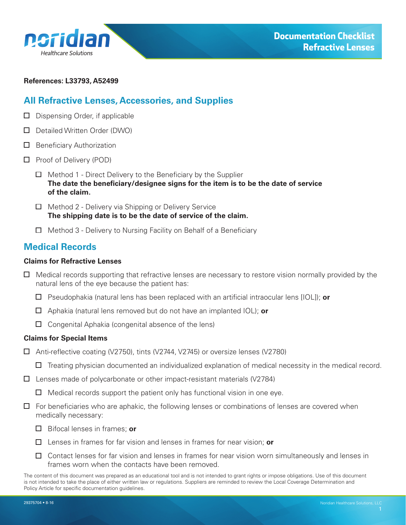<span id="page-0-0"></span>

#### **References: L33793, A52499**

### **All Refractive Lenses, Accessories, and Supplies**

- $\Box$  Dispensing Order, if applicable
- D Detailed Written Order (DWO)
- $\Box$  Beneficiary Authorization
- $\Box$  Proof of Delivery (POD)
	- $\Box$  Method 1 Direct Delivery to the Beneficiary by the Supplier **The date the beneficiary/designee signs for the item is to be the date of service of the claim.**
	- $\Box$  Method 2 Delivery via Shipping or Delivery Service **The shipping date is to be the date of service of the claim.**
	- $\Box$  Method 3 Delivery to Nursing Facility on Behalf of a Beneficiary

## **Medical Records**

#### **Claims for Refractive Lenses**

- $\Box$  Medical records supporting that refractive lenses are necessary to restore vision normally provided by the natural lens of the eye because the patient has:
	- Pseudophakia (natural lens has been replaced with an artificial intraocular lens [IOL]); **or**
	- Aphakia (natural lens removed but do not have an implanted IOL); **or**
	- $\Box$  Congenital Aphakia (congenital absence of the lens)

#### **Claims for Special Items**

- Anti-reflective coating (V2750), tints (V2744, V2745) or oversize lenses (V2780)
	- $\Box$  Treating physician documented an individualized explanation of medical necessity in the medical record.
- $\square$  Lenses made of polycarbonate or other impact-resistant materials (V2784)
	- $\Box$  Medical records support the patient only has functional vision in one eye.
- $\Box$  For beneficiaries who are aphakic, the following lenses or combinations of lenses are covered when medically necessary:
	- Bifocal lenses in frames; **or**
	- Lenses in frames for far vision and lenses in frames for near vision; **or**
	- $\Box$  Contact lenses for far vision and lenses in frames for near vision worn simultaneously and lenses in frames worn when the contacts have been removed.

The content of this document was prepared as an educational tool and is not intended to grant rights or impose obligations. Use of this document is not intended to take the place of either written law or regulations. Suppliers are reminded to review the Local Coverage Determination and Policy Article for specific documentation guidelines.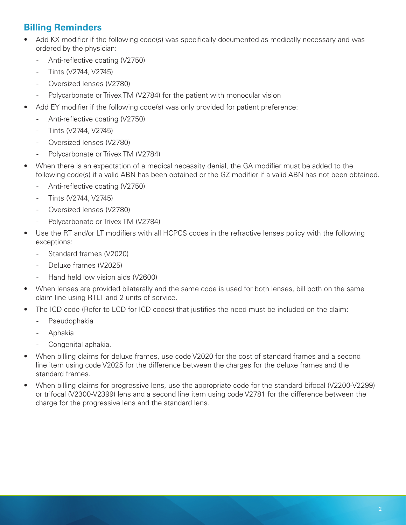# **Billing Reminders**

- Add KX modifier if the following code(s) was specifically documented as medically necessary and was ordered by the physician:
	- Anti-reflective coating (V2750)
	- Tints (V2744, V2745)
	- Oversized lenses (V2780)
	- Polycarbonate or Trivex TM (V2784) for the patient with monocular vision
- Add EY modifier if the following code(s) was only provided for patient preference:
	- Anti-reflective coating (V2750)
	- Tints (V2744, V2745)
	- Oversized lenses (V2780)
	- Polycarbonate or Trivex TM (V2784)
- When there is an expectation of a medical necessity denial, the GA modifier must be added to the following code(s) if a valid ABN has been obtained or the GZ modifier if a valid ABN has not been obtained.
	- Anti-reflective coating (V2750)
	- Tints (V2744, V2745)
	- Oversized lenses (V2780)
	- Polycarbonate or Trivex TM (V2784)
- Use the RT and/or LT modifiers with all HCPCS codes in the refractive lenses policy with the following exceptions:
	- Standard frames (V2020)
	- Deluxe frames (V2025)
	- Hand held low vision aids (V2600)
- When lenses are provided bilaterally and the same code is used for both lenses, bill both on the same claim line using RTLT and 2 units of service.
- The ICD code (Refer to LCD for ICD codes) that justifies the need must be included on the claim:
	- Pseudophakia
	- Aphakia
	- Congenital aphakia.
- When billing claims for deluxe frames, use code V2020 for the cost of standard frames and a second line item using code V2025 for the difference between the charges for the deluxe frames and the standard frames.
- When billing claims for progressive lens, use the appropriate code for the standard bifocal (V2200-V2299) or trifocal (V2300-V2399) lens and a second line item using code V2781 for the difference between the charge for the progressive lens and the standard lens.